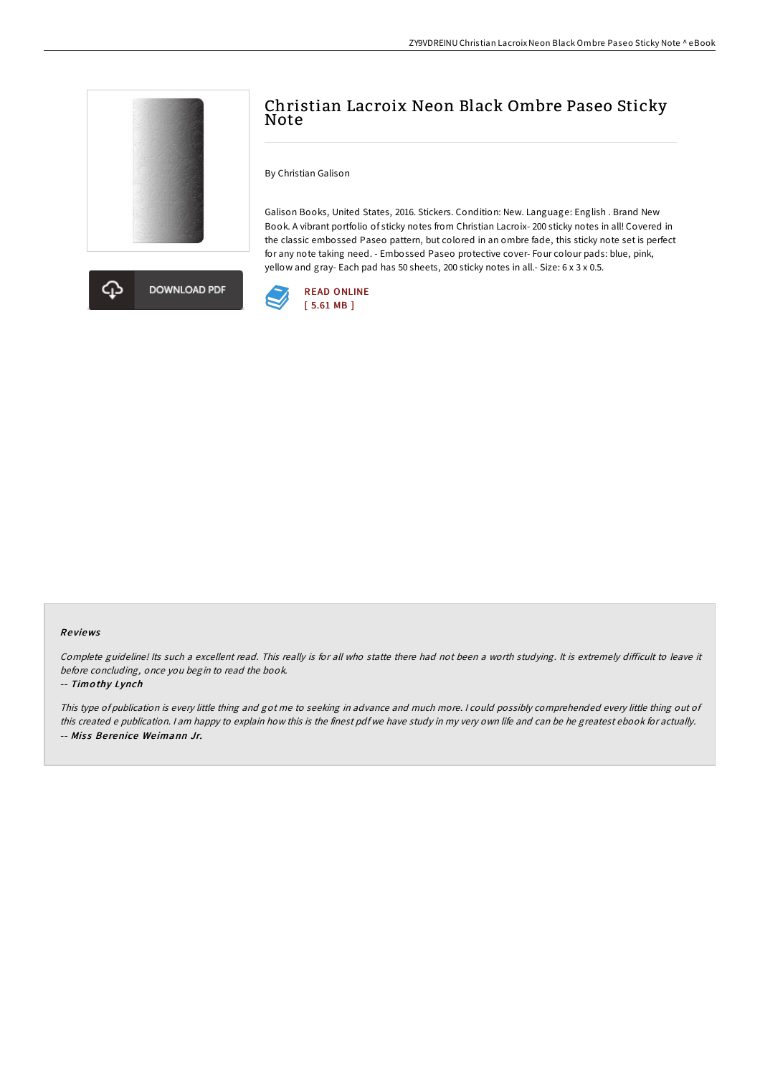



# Christian Lacroix Neon Black Ombre Paseo Sticky Note

By Christian Galison

Galison Books, United States, 2016. Stickers. Condition: New. Language: English . Brand New Book. A vibrant portfolio of sticky notes from Christian Lacroix- 200 sticky notes in all! Covered in the classic embossed Paseo pattern, but colored in an ombre fade, this sticky note set is perfect for any note taking need. - Embossed Paseo protective cover- Four colour pads: blue, pink, yellow and gray- Each pad has 50 sheets, 200 sticky notes in all.- Size: 6 x 3 x 0.5.



#### Re views

Complete guideline! Its such a excellent read. This really is for all who statte there had not been a worth studying. It is extremely difficult to leave it before concluding, once you begin to read the book.

#### -- Timo thy Lynch

This type of publication is every little thing and got me to seeking in advance and much more. <sup>I</sup> could possibly comprehended every little thing out of this created <sup>e</sup> publication. <sup>I</sup> am happy to explain how this is the finest pdf we have study in my very own life and can be he greatest ebook for actually. -- Miss Berenice Weimann Jr.